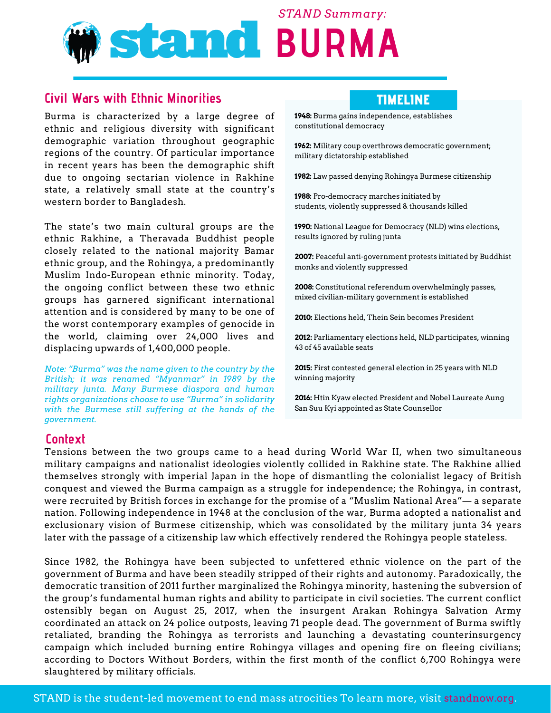# **Stand BURMA** *STAND Summary:*

## **Civil Wars with Ethnic Minorities**

Burma is characterized by a large degree of ethnic and religious diversity with significant demographic variation throughout geographic regions of the country. Of particular importance in recent years has been the demographic shift due to ongoing sectarian violence in Rakhine state, a relatively small state at the country's western border to Bangladesh.

The state's two main cultural groups are the ethnic Rakhine, a Theravada Buddhist people closely related to the national majority Bamar ethnic group, and the Rohingya, a predominantly Muslim Indo-European ethnic minority. Today, the ongoing conflict between these two ethnic groups has garnered significant international attention and is considered by many to be one of the worst contemporary examples of genocide in the world, claiming over 24,000 lives and displacing upwards of 1,400,000 people.

*Note: "Burma" was the name given to the country by the British; it was renamed "Myanmar" in 1989 by the military junta. Many Burmese diaspora and human rights organizations choose to use "Burma" in solidarity with the Burmese still suffering at the hands of the government.*

## TIMELINE

**1948:** Burma gains independence, establishes constitutional democracy

**1962:** Military coup overthrows democratic government; military dictatorship established

**1982:** Law passed denying Rohingya Burmese citizenship

**1988:** Pro-democracy marches initiated by students, violently suppressed & thousands killed

**1990:** National League for Democracy (NLD) wins elections, results ignored by ruling junta

**2007:** Peaceful anti-government protests initiated by Buddhist monks and violently suppressed

**2008:** Constitutional referendum overwhelmingly passes, mixed civilian-military government is established

**2010:** Elections held, Thein Sein becomes President

**2012:** Parliamentary elections held, NLD participates, winning 43 of 45 available seats

**2015:** First contested general election in 25 years with NLD winning majority

**2016:** Htin Kyaw elected President and Nobel Laureate Aung San Suu Kyi appointed as State Counsellor

#### **Context**

Tensions between the two groups came to a head during World War II, when two simultaneous military campaigns and nationalist ideologies violently collided in Rakhine state. The Rakhine allied themselves strongly with imperial Japan in the hope of dismantling the colonialist legacy of British conquest and viewed the Burma campaign as a struggle for independence; the Rohingya, in contrast, were recruited by British forces in exchange for the promise of a "Muslim National Area"— a separate nation. Following independence in 1948 at the conclusion of the war, Burma adopted a nationalist and exclusionary vision of Burmese citizenship, which was consolidated by the military junta 34 years later with the passage of a citizenship law which effectively rendered the Rohingya people stateless.

Since 1982, the Rohingya have been subjected to unfettered ethnic violence on the part of the government of Burma and have been steadily stripped of their rights and autonomy. Paradoxically, the democratic transition of 2011 further marginalized the Rohingya minority, hastening the subversion of the group's fundamental human rights and ability to participate in civil societies. The current conflict ostensibly began on August 25, 2017, when the insurgent Arakan Rohingya Salvation Army coordinated an attack on 24 police outposts, leaving 71 people dead. The government of Burma swiftly retaliated, branding the Rohingya as terrorists and launching a devastating counterinsurgency campaign which included burning entire Rohingya villages and opening fire on fleeing civilians; according to Doctors Without Borders, within the first month of the conflict 6,700 Rohingya were slaughtered by military officials.